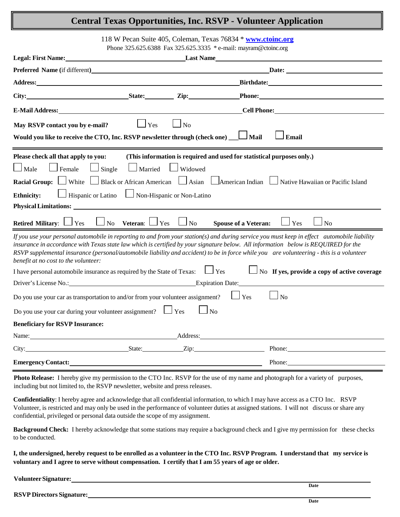### **Central Texas Opportunities, Inc. RSVP - Volunteer Application**

118 W Pecan Suite 405, Coleman, Texas 76834 \* **[www.ctoinc.org](http://www.ctoinc.org/)**

Phone 325.625.6388 Fax 325.625.3335 \* e-mail: mayram@ctoinc.org

| <b>Legal: First Name:</b>                                                                                                                                                                                                                                                                                                                                                                                                                                              |                                         |                 | <b>Example 12 In Last Name</b>                                                                                                                                                                                                 |  |
|------------------------------------------------------------------------------------------------------------------------------------------------------------------------------------------------------------------------------------------------------------------------------------------------------------------------------------------------------------------------------------------------------------------------------------------------------------------------|-----------------------------------------|-----------------|--------------------------------------------------------------------------------------------------------------------------------------------------------------------------------------------------------------------------------|--|
| <b>Preferred Name (if different)</b>                                                                                                                                                                                                                                                                                                                                                                                                                                   |                                         |                 | Date: <u>Date:</u>                                                                                                                                                                                                             |  |
| Address: the contract of the contract of the contract of the contract of the contract of the contract of the contract of the contract of the contract of the contract of the contract of the contract of the contract of the c                                                                                                                                                                                                                                         |                                         |                 | Birthdate: National Communication of Birthdate:                                                                                                                                                                                |  |
| <b>Example 21 State:</b> <i>State: Zip</i> :<br>City:                                                                                                                                                                                                                                                                                                                                                                                                                  |                                         |                 | Phone: Note: 2008 and 2008 and 2008 and 2008 and 2008 and 2008 and 2008 and 2008 and 2008 and 2008 and 2008 and 2008 and 2008 and 2008 and 2008 and 2008 and 2008 and 2008 and 2008 and 2008 and 2008 and 2008 and 2008 and 20 |  |
| E-Mail Address: No. 1996. The Mail Address:                                                                                                                                                                                                                                                                                                                                                                                                                            |                                         |                 | <b>Cell Phone:</b>                                                                                                                                                                                                             |  |
| May RSVP contact you by e-mail?                                                                                                                                                                                                                                                                                                                                                                                                                                        | Yes                                     | $\Box$ No       |                                                                                                                                                                                                                                |  |
| Would you like to receive the CTO, Inc. RSVP newsletter through (check one) __ L Mail                                                                                                                                                                                                                                                                                                                                                                                  |                                         |                 | <b>Email</b>                                                                                                                                                                                                                   |  |
| Please check all that apply to you:<br>(This information is required and used for statistical purposes only.)                                                                                                                                                                                                                                                                                                                                                          |                                         |                 |                                                                                                                                                                                                                                |  |
| $\Box$ Male<br>$\Box$ Female<br>$\Box$ Single                                                                                                                                                                                                                                                                                                                                                                                                                          |                                         | Married Widowed |                                                                                                                                                                                                                                |  |
| <b>Racial Group:</b> White $\Box$ Black or African American $\Box$ Asian $\Box$ American Indian $\Box$ Native Hawaiian or Pacific Island                                                                                                                                                                                                                                                                                                                               |                                         |                 |                                                                                                                                                                                                                                |  |
| $\Box$ Hispanic or Latino $\Box$ Non-Hispanic or Non-Latino<br><b>Ethnicity:</b>                                                                                                                                                                                                                                                                                                                                                                                       |                                         |                 |                                                                                                                                                                                                                                |  |
|                                                                                                                                                                                                                                                                                                                                                                                                                                                                        |                                         |                 |                                                                                                                                                                                                                                |  |
| Retired Military: $\Box$ Yes                                                                                                                                                                                                                                                                                                                                                                                                                                           | $\Box$ No Veteran: $\Box$ Yes $\Box$ No |                 | <b>Spouse of a Veteran:</b><br>Yes<br>N <sub>o</sub>                                                                                                                                                                           |  |
| If you use your personal automobile in reporting to and from your station(s) and during service you must keep in effect automobile liability<br>insurance in accordance with Texas state law which is certified by your signature below. All information below is REQUIRED for the<br>RSVP supplemental insurance (personal/automobile liability and accident) to be in force while you are volunteering - this is a volunteer<br>benefit at no cost to the volunteer: |                                         |                 |                                                                                                                                                                                                                                |  |
| No If yes, provide a copy of active coverage<br>$\Box$ Yes<br>I have personal automobile insurance as required by the State of Texas:                                                                                                                                                                                                                                                                                                                                  |                                         |                 |                                                                                                                                                                                                                                |  |
| Driver's License No.: Expiration Date:                                                                                                                                                                                                                                                                                                                                                                                                                                 |                                         |                 |                                                                                                                                                                                                                                |  |
| Do you use your car as transportation to and/or from your volunteer assignment?<br>Yes<br>No                                                                                                                                                                                                                                                                                                                                                                           |                                         |                 |                                                                                                                                                                                                                                |  |
| Do you use your car during your volunteer assignment? $\Box$ Yes<br>N <sub>o</sub>                                                                                                                                                                                                                                                                                                                                                                                     |                                         |                 |                                                                                                                                                                                                                                |  |
| <b>Beneficiary for RSVP Insurance:</b>                                                                                                                                                                                                                                                                                                                                                                                                                                 |                                         |                 |                                                                                                                                                                                                                                |  |
| Name:                                                                                                                                                                                                                                                                                                                                                                                                                                                                  |                                         |                 | Address:                                                                                                                                                                                                                       |  |
| City: <u>City:</u> State: <u>City:</u> City:                                                                                                                                                                                                                                                                                                                                                                                                                           |                                         |                 | Phone:                                                                                                                                                                                                                         |  |
| <b>Emergency Contact:</b> Emergency Contact:                                                                                                                                                                                                                                                                                                                                                                                                                           |                                         |                 | Phone:                                                                                                                                                                                                                         |  |
|                                                                                                                                                                                                                                                                                                                                                                                                                                                                        |                                         |                 |                                                                                                                                                                                                                                |  |

**Photo Release:** I hereby give my permission to the CTO Inc. RSVP for the use of my name and photograph for a variety of purposes, including but not limited to, the RSVP newsletter, website and press releases.

**Confidentiality**: I hereby agree and acknowledge that all confidential information, to which I may have access as a CTO Inc. RSVP Volunteer, is restricted and may only be used in the performance of volunteer duties at assigned stations. I will not discuss or share any confidential, privileged or personal data outside the scope of my assignment.

**Background Check:** I hereby acknowledge that some stations may require a background check and I give my permission for these checks to be conducted.

I, the undersigned, hereby request to be enrolled as a volunteer in the CTO Inc. RSVP Program. I understand that my service is voluntary and I agree to serve without compensation. I certify that I am 55 years of age or older.

**VolunteerSignature:**

**RSVP Directors Signature:**